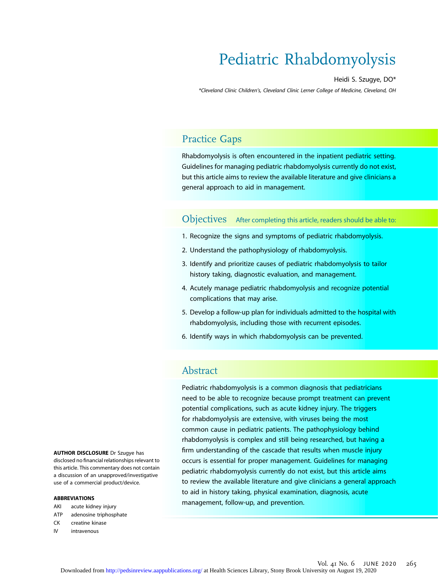# Pediatric Rhabdomyolysis

#### Heidi S. Szugye, DO\*

\*Cleveland Clinic Children's, Cleveland Clinic Lerner College of Medicine, Cleveland, OH

# Practice Gaps

Rhabdomyolysis is often encountered in the inpatient pediatric setting. Guidelines for managing pediatric rhabdomyolysis currently do not exist, but this article aims to review the available literature and give clinicians a general approach to aid in management.

# Objectives After completing this article, readers should be able to:

- 1. Recognize the signs and symptoms of pediatric rhabdomyolysis.
- 2. Understand the pathophysiology of rhabdomyolysis.
- 3. Identify and prioritize causes of pediatric rhabdomyolysis to tailor history taking, diagnostic evaluation, and management.
- 4. Acutely manage pediatric rhabdomyolysis and recognize potential complications that may arise.
- 5. Develop a follow-up plan for individuals admitted to the hospital with rhabdomyolysis, including those with recurrent episodes.
- 6. Identify ways in which rhabdomyolysis can be prevented.

# Abstract

Pediatric rhabdomyolysis is a common diagnosis that pediatricians need to be able to recognize because prompt treatment can prevent potential complications, such as acute kidney injury. The triggers for rhabdomyolysis are extensive, with viruses being the most common cause in pediatric patients. The pathophysiology behind rhabdomyolysis is complex and still being researched, but having a firm understanding of the cascade that results when muscle injury occurs is essential for proper management. Guidelines for managing pediatric rhabdomyolysis currently do not exist, but this article aims to review the available literature and give clinicians a general approach to aid in history taking, physical examination, diagnosis, acute management, follow-up, and prevention.

AUTHOR DISCLOSURE Dr Szugye has disclosed no financial relationships relevant to this article. This commentary does not contain a discussion of an unapproved/investigative use of a commercial product/device.

#### ABBREVIATIONS

- AKI acute kidney injury
- ATP adenosine triphosphate
- CK creatine kinase
- IV intravenous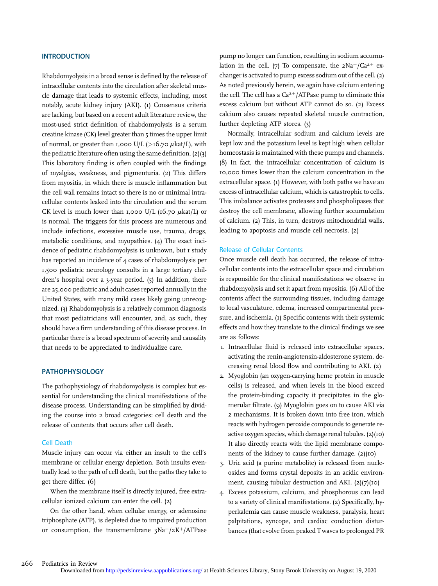## **INTRODUCTION**

Rhabdomyolysis in a broad sense is defined by the release of intracellular contents into the circulation after skeletal muscle damage that leads to systemic effects, including, most notably, acute kidney injury (AKI). (1) Consensus criteria are lacking, but based on a recent adult literature review, the most-used strict definition of rhabdomyolysis is a serum creatine kinase (CK) level greater than 5 times the upper limit of normal, or greater than 1,000 U/L ( $>16.70 \mu$ kat/L), with the pediatric literature often using the same definition. (2)(3) This laboratory finding is often coupled with the findings of myalgias, weakness, and pigmenturia. (2) This differs from myositis, in which there is muscle inflammation but the cell wall remains intact so there is no or minimal intracellular contents leaked into the circulation and the serum CK level is much lower than 1,000 U/L ( $16.70 \mu$ kat/L) or is normal. The triggers for this process are numerous and include infections, excessive muscle use, trauma, drugs, metabolic conditions, and myopathies. (4) The exact incidence of pediatric rhabdomyolysis is unknown, but 1 study has reported an incidence of 4 cases of rhabdomyolysis per 1,500 pediatric neurology consults in a large tertiary children's hospital over a 3-year period. (5) In addition, there are 25,000 pediatric and adult cases reported annually in the United States, with many mild cases likely going unrecognized. (3) Rhabdomyolysis is a relatively common diagnosis that most pediatricians will encounter, and, as such, they should have a firm understanding of this disease process. In particular there is a broad spectrum of severity and causality that needs to be appreciated to individualize care.

# PATHOPHYSIOLOGY

The pathophysiology of rhabdomyolysis is complex but essential for understanding the clinical manifestations of the disease process. Understanding can be simplified by dividing the course into 2 broad categories: cell death and the release of contents that occurs after cell death.

## Cell Death

Muscle injury can occur via either an insult to the cell's membrane or cellular energy depletion. Both insults eventually lead to the path of cell death, but the paths they take to get there differ. (6)

When the membrane itself is directly injured, free extracellular ionized calcium can enter the cell. (2)

On the other hand, when cellular energy, or adenosine triphosphate (ATP), is depleted due to impaired production or consumption, the transmembrane  $3Na^{+}/2K^{+}/ATP$ ase

pump no longer can function, resulting in sodium accumulation in the cell. (7) To compensate, the  $2Na^{+}/Ca^{2+}$  exchanger is activated to pump excess sodium out of the cell. (2) As noted previously herein, we again have calcium entering the cell. The cell has a  $Ca^{2+}/ATP$ ase pump to eliminate this excess calcium but without ATP cannot do so. (2) Excess calcium also causes repeated skeletal muscle contraction, further depleting ATP stores. (3)

Normally, intracellular sodium and calcium levels are kept low and the potassium level is kept high when cellular homeostasis is maintained with these pumps and channels. (8) In fact, the intracellular concentration of calcium is 10,000 times lower than the calcium concentration in the extracellular space. (1) However, with both paths we have an excess of intracellular calcium, which is catastrophic to cells. This imbalance activates proteases and phospholipases that destroy the cell membrane, allowing further accumulation of calcium. (2) This, in turn, destroys mitochondrial walls, leading to apoptosis and muscle cell necrosis. (2)

#### Release of Cellular Contents

Once muscle cell death has occurred, the release of intracellular contents into the extracellular space and circulation is responsible for the clinical manifestations we observe in rhabdomyolysis and set it apart from myositis. (6) All of the contents affect the surrounding tissues, including damage to local vasculature, edema, increased compartmental pressure, and ischemia. (1) Specific contents with their systemic effects and how they translate to the clinical findings we see are as follows:

- 1. Intracellular fluid is released into extracellular spaces, activating the renin-angiotensin-aldosterone system, decreasing renal blood flow and contributing to AKI. (2)
- 2. Myoglobin (an oxygen-carrying heme protein in muscle cells) is released, and when levels in the blood exceed the protein-binding capacity it precipitates in the glomerular filtrate. (9) Myoglobin goes on to cause AKI via 2 mechanisms. It is broken down into free iron, which reacts with hydrogen peroxide compounds to generate reactive oxygen species, which damage renal tubules. (2)(10) It also directly reacts with the lipid membrane components of the kidney to cause further damage. (2)(10)
- 3. Uric acid (a purine metabolite) is released from nucleosides and forms crystal deposits in an acidic environment, causing tubular destruction and AKI.  $(2)(7)(10)$
- 4. Excess potassium, calcium, and phosphorous can lead to a variety of clinical manifestations. (2) Specifically, hyperkalemia can cause muscle weakness, paralysis, heart palpitations, syncope, and cardiac conduction disturbances (that evolve from peaked Twaves to prolonged PR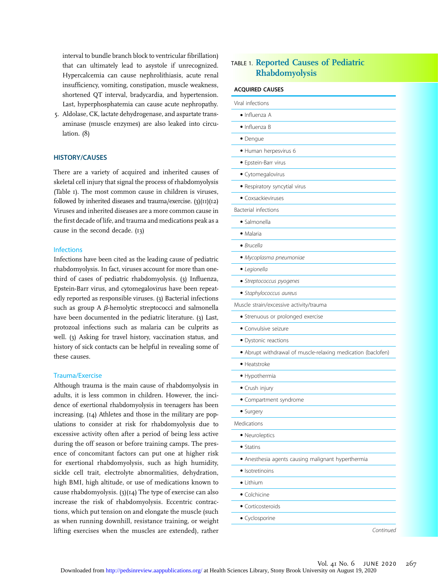interval to bundle branch block to ventricular fibrillation) that can ultimately lead to asystole if unrecognized. Hypercalcemia can cause nephrolithiasis, acute renal insufficiency, vomiting, constipation, muscle weakness, shortened QT interval, bradycardia, and hypertension. Last, hyperphosphatemia can cause acute nephropathy.

5. Aldolase, CK, lactate dehydrogenase, and aspartate transaminase (muscle enzymes) are also leaked into circulation. (8)

## HISTORY/CAUSES

There are a variety of acquired and inherited causes of skeletal cell injury that signal the process of rhabdomyolysis (Table 1). The most common cause in children is viruses, followed by inherited diseases and trauma/exercise.  $(3)(11)(12)$ Viruses and inherited diseases are a more common cause in the first decade of life, and trauma and medications peak as a cause in the second decade. (13)

#### **Infections**

Infections have been cited as the leading cause of pediatric rhabdomyolysis. In fact, viruses account for more than onethird of cases of pediatric rhabdomyolysis. (3) Influenza, Epstein-Barr virus, and cytomegalovirus have been repeatedly reported as responsible viruses. (3) Bacterial infections such as group A  $\beta$ -hemolytic streptococci and salmonella have been documented in the pediatric literature. (3) Last, protozoal infections such as malaria can be culprits as well. (3) Asking for travel history, vaccination status, and history of sick contacts can be helpful in revealing some of these causes.

## Trauma/Exercise

Although trauma is the main cause of rhabdomyolysis in adults, it is less common in children. However, the incidence of exertional rhabdomyolysis in teenagers has been increasing. (14) Athletes and those in the military are populations to consider at risk for rhabdomyolysis due to excessive activity often after a period of being less active during the off season or before training camps. The presence of concomitant factors can put one at higher risk for exertional rhabdomyolysis, such as high humidity, sickle cell trait, electrolyte abnormalities, dehydration, high BMI, high altitude, or use of medications known to cause rhabdomyolysis. (3)(14) The type of exercise can also increase the risk of rhabdomyolysis. Eccentric contractions, which put tension on and elongate the muscle (such as when running downhill, resistance training, or weight lifting exercises when the muscles are extended), rather

# TABLE 1. Reported Causes of Pediatric Rhabdomyolysis

| Viral infections                                             |
|--------------------------------------------------------------|
| • Influenza A                                                |
| • Influenza B                                                |
| · Dengue                                                     |
| · Human herpesvirus 6                                        |
| · Epstein-Barr virus                                         |
| • Cytomegalovirus                                            |
| · Respiratory syncytial virus                                |
| • Coxsackieviruses                                           |
| Bacterial infections                                         |
| • Salmonella                                                 |
| • Malaria                                                    |
| • Brucella                                                   |
| · Mycoplasma pneumoniae                                      |
| · Legionella                                                 |
| • Streptococcus pyogenes                                     |
| · Staphylococcus aureus                                      |
| Muscle strain/excessive activity/trauma                      |
| · Strenuous or prolonged exercise                            |
| • Convulsive seizure                                         |
| · Dystonic reactions                                         |
| · Abrupt withdrawal of muscle-relaxing medication (baclofen) |
| • Heatstroke                                                 |
| · Hypothermia                                                |
| • Crush injury                                               |
| · Compartment syndrome                                       |
| • Surgery                                                    |
| Medications                                                  |
| • Neuroleptics                                               |
| • Statins                                                    |
| • Anesthesia agents causing malignant hyperthermia           |
| · Isotretinoins                                              |
| • Lithium                                                    |
| • Colchicine                                                 |
| • Corticosteroids                                            |
| · Cyclosporine                                               |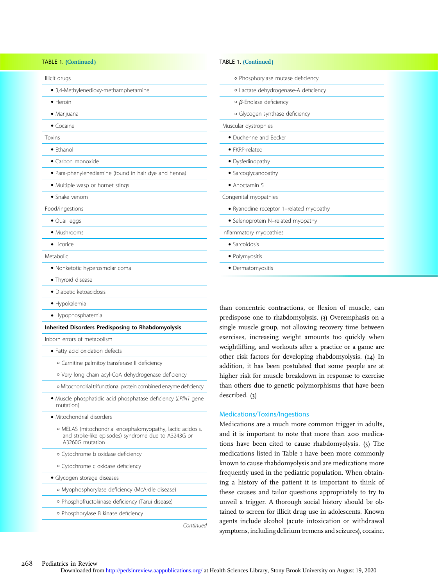| <b>TABLE 1. (Continued)</b>                                                                                                          | <b>TABLE 1. (Continued)</b>                                                                                                                                                                                                                                                                                                                                                                                                                                                                                                                                                             |  |
|--------------------------------------------------------------------------------------------------------------------------------------|-----------------------------------------------------------------------------------------------------------------------------------------------------------------------------------------------------------------------------------------------------------------------------------------------------------------------------------------------------------------------------------------------------------------------------------------------------------------------------------------------------------------------------------------------------------------------------------------|--|
| Illicit drugs                                                                                                                        | · Phosphorylase mutase deficiency                                                                                                                                                                                                                                                                                                                                                                                                                                                                                                                                                       |  |
| · 3,4-Methylenedioxy-methamphetamine                                                                                                 | o Lactate dehydrogenase-A deficiency                                                                                                                                                                                                                                                                                                                                                                                                                                                                                                                                                    |  |
| $\bullet$ Heroin                                                                                                                     | $\circ$ $\beta$ -Enolase deficiency                                                                                                                                                                                                                                                                                                                                                                                                                                                                                                                                                     |  |
| • Marijuana                                                                                                                          | o Glycogen synthase deficiency                                                                                                                                                                                                                                                                                                                                                                                                                                                                                                                                                          |  |
| $\bullet$ Cocaine                                                                                                                    | Muscular dystrophies                                                                                                                                                                                                                                                                                                                                                                                                                                                                                                                                                                    |  |
| Toxins                                                                                                                               | • Duchenne and Becker                                                                                                                                                                                                                                                                                                                                                                                                                                                                                                                                                                   |  |
| • Ethanol                                                                                                                            | • FKRP-related                                                                                                                                                                                                                                                                                                                                                                                                                                                                                                                                                                          |  |
| · Carbon monoxide                                                                                                                    | · Dysferlinopathy                                                                                                                                                                                                                                                                                                                                                                                                                                                                                                                                                                       |  |
| · Para-phenylenediamine (found in hair dye and henna)                                                                                | • Sarcoglycanopathy                                                                                                                                                                                                                                                                                                                                                                                                                                                                                                                                                                     |  |
| · Multiple wasp or hornet stings                                                                                                     | • Anoctamin 5                                                                                                                                                                                                                                                                                                                                                                                                                                                                                                                                                                           |  |
| • Snake venom                                                                                                                        | Congenital myopathies                                                                                                                                                                                                                                                                                                                                                                                                                                                                                                                                                                   |  |
| Food/ingestions                                                                                                                      | · Ryanodine receptor 1-related myopathy                                                                                                                                                                                                                                                                                                                                                                                                                                                                                                                                                 |  |
| • Quail eggs                                                                                                                         | · Selenoprotein N-related myopathy                                                                                                                                                                                                                                                                                                                                                                                                                                                                                                                                                      |  |
| • Mushrooms                                                                                                                          | Inflammatory myopathies                                                                                                                                                                                                                                                                                                                                                                                                                                                                                                                                                                 |  |
| • Licorice                                                                                                                           | • Sarcoidosis                                                                                                                                                                                                                                                                                                                                                                                                                                                                                                                                                                           |  |
| Metabolic                                                                                                                            | · Polymyositis                                                                                                                                                                                                                                                                                                                                                                                                                                                                                                                                                                          |  |
| · Nonketotic hyperosmolar coma                                                                                                       | · Dermatomyositis                                                                                                                                                                                                                                                                                                                                                                                                                                                                                                                                                                       |  |
| • Thyroid disease                                                                                                                    |                                                                                                                                                                                                                                                                                                                                                                                                                                                                                                                                                                                         |  |
| · Diabetic ketoacidosis                                                                                                              |                                                                                                                                                                                                                                                                                                                                                                                                                                                                                                                                                                                         |  |
| · Hypokalemia                                                                                                                        | than concentric contractions, or flexion of muscle, can                                                                                                                                                                                                                                                                                                                                                                                                                                                                                                                                 |  |
| · Hypophosphatemia                                                                                                                   | predispose one to rhabdomyolysis. (3) Overemphasis on a<br>single muscle group, not allowing recovery time between<br>exercises, increasing weight amounts too quickly when<br>weightlifting, and workouts after a practice or a game are<br>other risk factors for developing rhabdomyolysis. (14) In<br>addition, it has been postulated that some people are at<br>higher risk for muscle breakdown in response to exercise<br>than others due to genetic polymorphisms that have been                                                                                               |  |
| Inherited Disorders Predisposing to Rhabdomyolysis                                                                                   |                                                                                                                                                                                                                                                                                                                                                                                                                                                                                                                                                                                         |  |
| Inborn errors of metabolism                                                                                                          |                                                                                                                                                                                                                                                                                                                                                                                                                                                                                                                                                                                         |  |
| · Fatty acid oxidation defects                                                                                                       |                                                                                                                                                                                                                                                                                                                                                                                                                                                                                                                                                                                         |  |
| o Carnitine palmitoyltransferase II deficiency                                                                                       |                                                                                                                                                                                                                                                                                                                                                                                                                                                                                                                                                                                         |  |
| o Very long chain acyl-CoA dehydrogenase deficiency                                                                                  |                                                                                                                                                                                                                                                                                                                                                                                                                                                                                                                                                                                         |  |
| · Mitochondrial trifunctional protein combined enzyme deficiency                                                                     |                                                                                                                                                                                                                                                                                                                                                                                                                                                                                                                                                                                         |  |
| · Muscle phosphatidic acid phosphatase deficiency (LPIN1 gene<br>mutation)                                                           | described. (3)                                                                                                                                                                                                                                                                                                                                                                                                                                                                                                                                                                          |  |
| · Mitochondrial disorders                                                                                                            | <b>Medications/Toxins/Ingestions</b><br>Medications are a much more common trigger in adults,<br>and it is important to note that more than 200 medica-<br>tions have been cited to cause rhabdomyolysis. (3) The<br>medications listed in Table I have been more commonly<br>known to cause rhabdomyolysis and are medications more<br>frequently used in the pediatric population. When obtain-<br>ing a history of the patient it is important to think of<br>these causes and tailor questions appropriately to try to<br>unveil a trigger. A thorough social history should be ob- |  |
| o MELAS (mitochondrial encephalomyopathy, lactic acidosis,<br>and stroke-like episodes) syndrome due to A3243G or<br>A3260G mutation |                                                                                                                                                                                                                                                                                                                                                                                                                                                                                                                                                                                         |  |
| o Cytochrome b oxidase deficiency                                                                                                    |                                                                                                                                                                                                                                                                                                                                                                                                                                                                                                                                                                                         |  |
| o Cytochrome c oxidase deficiency                                                                                                    |                                                                                                                                                                                                                                                                                                                                                                                                                                                                                                                                                                                         |  |
| · Glycogen storage diseases                                                                                                          |                                                                                                                                                                                                                                                                                                                                                                                                                                                                                                                                                                                         |  |
| o Myophosphorylase deficiency (McArdle disease)                                                                                      |                                                                                                                                                                                                                                                                                                                                                                                                                                                                                                                                                                                         |  |
| · Phosphofructokinase deficiency (Tarui disease)                                                                                     |                                                                                                                                                                                                                                                                                                                                                                                                                                                                                                                                                                                         |  |
| o Phosphonylase R kinase deficiency                                                                                                  | tained to screen for illicit drug use in adolescents. Known                                                                                                                                                                                                                                                                                                                                                                                                                                                                                                                             |  |

- Phosphorylase B kinase deficiency

Continued

agents include alcohol (acute intoxication or withdrawal symptoms, including delirium tremens and seizures), cocaine,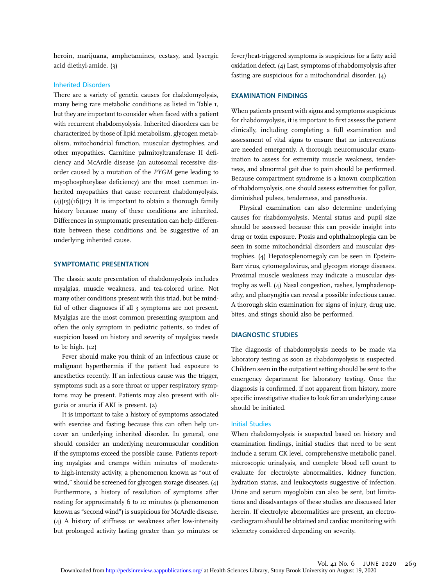heroin, marijuana, amphetamines, ecstasy, and lysergic acid diethyl-amide. (3)

#### Inherited Disorders

There are a variety of genetic causes for rhabdomyolysis, many being rare metabolic conditions as listed in Table 1, but they are important to consider when faced with a patient with recurrent rhabdomyolysis. Inherited disorders can be characterized by those of lipid metabolism, glycogen metabolism, mitochondrial function, muscular dystrophies, and other myopathies. Carnitine palmitoyltransferase II deficiency and McArdle disease (an autosomal recessive disorder caused by a mutation of the PYGM gene leading to myophosphorylase deficiency) are the most common inherited myopathies that cause recurrent rhabdomyolysis.  $(4)(15)(16)(17)$  It is important to obtain a thorough family history because many of these conditions are inherited. Differences in symptomatic presentation can help differentiate between these conditions and be suggestive of an underlying inherited cause.

## SYMPTOMATIC PRESENTATION

The classic acute presentation of rhabdomyolysis includes myalgias, muscle weakness, and tea-colored urine. Not many other conditions present with this triad, but be mindful of other diagnoses if all 3 symptoms are not present. Myalgias are the most common presenting symptom and often the only symptom in pediatric patients, so index of suspicion based on history and severity of myalgias needs to be high. (12)

Fever should make you think of an infectious cause or malignant hyperthermia if the patient had exposure to anesthetics recently. If an infectious cause was the trigger, symptoms such as a sore throat or upper respiratory symptoms may be present. Patients may also present with oliguria or anuria if AKI is present. (2)

It is important to take a history of symptoms associated with exercise and fasting because this can often help uncover an underlying inherited disorder. In general, one should consider an underlying neuromuscular condition if the symptoms exceed the possible cause. Patients reporting myalgias and cramps within minutes of moderateto high-intensity activity, a phenomenon known as "out of wind," should be screened for glycogen storage diseases. (4) Furthermore, a history of resolution of symptoms after resting for approximately 6 to 10 minutes (a phenomenon known as "second wind") is suspicious for McArdle disease. (4) A history of stiffness or weakness after low-intensity but prolonged activity lasting greater than 30 minutes or

fever/heat-triggered symptoms is suspicious for a fatty acid oxidation defect. (4) Last, symptoms of rhabdomyolysis after fasting are suspicious for a mitochondrial disorder. (4)

## EXAMINATION FINDINGS

When patients present with signs and symptoms suspicious for rhabdomyolysis, it is important to first assess the patient clinically, including completing a full examination and assessment of vital signs to ensure that no interventions are needed emergently. A thorough neuromuscular examination to assess for extremity muscle weakness, tenderness, and abnormal gait due to pain should be performed. Because compartment syndrome is a known complication of rhabdomyolysis, one should assess extremities for pallor, diminished pulses, tenderness, and paresthesia.

Physical examination can also determine underlying causes for rhabdomyolysis. Mental status and pupil size should be assessed because this can provide insight into drug or toxin exposure. Ptosis and ophthalmoplegia can be seen in some mitochondrial disorders and muscular dystrophies. (4) Hepatosplenomegaly can be seen in Epstein-Barr virus, cytomegalovirus, and glycogen storage diseases. Proximal muscle weakness may indicate a muscular dystrophy as well. (4) Nasal congestion, rashes, lymphadenopathy, and pharyngitis can reveal a possible infectious cause. A thorough skin examination for signs of injury, drug use, bites, and stings should also be performed.

## DIAGNOSTIC STUDIES

The diagnosis of rhabdomyolysis needs to be made via laboratory testing as soon as rhabdomyolysis is suspected. Children seen in the outpatient setting should be sent to the emergency department for laboratory testing. Once the diagnosis is confirmed, if not apparent from history, more specific investigative studies to look for an underlying cause should be initiated.

## Initial Studies

When rhabdomyolysis is suspected based on history and examination findings, initial studies that need to be sent include a serum CK level, comprehensive metabolic panel, microscopic urinalysis, and complete blood cell count to evaluate for electrolyte abnormalities, kidney function, hydration status, and leukocytosis suggestive of infection. Urine and serum myoglobin can also be sent, but limitations and disadvantages of these studies are discussed later herein. If electrolyte abnormalities are present, an electrocardiogram should be obtained and cardiac monitoring with telemetry considered depending on severity.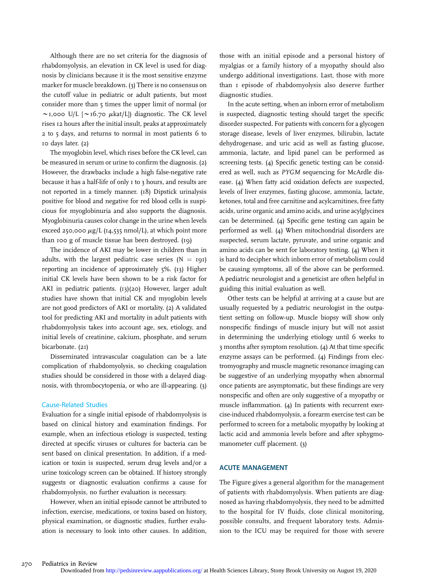Although there are no set criteria for the diagnosis of rhabdomyolysis, an elevation in CK level is used for diagnosis by clinicians because it is the most sensitive enzyme marker for muscle breakdown. (3) There is no consensus on the cutoff value in pediatric or adult patients, but most consider more than 5 times the upper limit of normal (or ~1,000 U/L [~16.70  $\mu$ kat/L]) diagnostic. The CK level rises 12 hours after the initial insult, peaks at approximately 2 to 5 days, and returns to normal in most patients 6 to 10 days later. (2)

The myoglobin level, which rises before the CK level, can be measured in serum or urine to confirm the diagnosis. (2) However, the drawbacks include a high false-negative rate because it has a half-life of only I to 3 hours, and results are not reported in a timely manner. (18) Dipstick urinalysis positive for blood and negative for red blood cells is suspicious for myoglobinuria and also supports the diagnosis. Myoglobinuria causes color change in the urine when levels exceed 250,000  $\mu$ g/L (14,535 nmol/L), at which point more than 100 g of muscle tissue has been destroyed. (19)

The incidence of AKI may be lower in children than in adults, with the largest pediatric case series  $(N = 191)$ reporting an incidence of approximately 5%. (13) Higher initial CK levels have been shown to be a risk factor for AKI in pediatric patients. (13)(20) However, larger adult studies have shown that initial CK and myoglobin levels are not good predictors of AKI or mortality. (2) A validated tool for predicting AKI and mortality in adult patients with rhabdomyolysis takes into account age, sex, etiology, and initial levels of creatinine, calcium, phosphate, and serum bicarbonate. (21)

Disseminated intravascular coagulation can be a late complication of rhabdomyolysis, so checking coagulation studies should be considered in those with a delayed diagnosis, with thrombocytopenia, or who are ill-appearing. (3)

#### Cause-Related Studies

Evaluation for a single initial episode of rhabdomyolysis is based on clinical history and examination findings. For example, when an infectious etiology is suspected, testing directed at specific viruses or cultures for bacteria can be sent based on clinical presentation. In addition, if a medication or toxin is suspected, serum drug levels and/or a urine toxicology screen can be obtained. If history strongly suggests or diagnostic evaluation confirms a cause for rhabdomyolysis, no further evaluation is necessary.

However, when an initial episode cannot be attributed to infection, exercise, medications, or toxins based on history, physical examination, or diagnostic studies, further evaluation is necessary to look into other causes. In addition, those with an initial episode and a personal history of myalgias or a family history of a myopathy should also undergo additional investigations. Last, those with more than 1 episode of rhabdomyolysis also deserve further diagnostic studies.

In the acute setting, when an inborn error of metabolism is suspected, diagnostic testing should target the specific disorder suspected. For patients with concern for a glycogen storage disease, levels of liver enzymes, bilirubin, lactate dehydrogenase, and uric acid as well as fasting glucose, ammonia, lactate, and lipid panel can be performed as screening tests. (4) Specific genetic testing can be considered as well, such as PYGM sequencing for McArdle disease. (4) When fatty acid oxidation defects are suspected, levels of liver enzymes, fasting glucose, ammonia, lactate, ketones, total and free carnitine and acylcarnitines, free fatty acids, urine organic and amino acids, and urine acylglycines can be determined. (4) Specific gene testing can again be performed as well. (4) When mitochondrial disorders are suspected, serum lactate, pyruvate, and urine organic and amino acids can be sent for laboratory testing. (4) When it is hard to decipher which inborn error of metabolism could be causing symptoms, all of the above can be performed. A pediatric neurologist and a geneticist are often helpful in guiding this initial evaluation as well.

Other tests can be helpful at arriving at a cause but are usually requested by a pediatric neurologist in the outpatient setting on follow-up. Muscle biopsy will show only nonspecific findings of muscle injury but will not assist in determining the underlying etiology until 6 weeks to 3 months after symptom resolution. (4) At that time specific enzyme assays can be performed. (4) Findings from electromyography and muscle magnetic resonance imaging can be suggestive of an underlying myopathy when abnormal once patients are asymptomatic, but these findings are very nonspecific and often are only suggestive of a myopathy or muscle inflammation. (4) In patients with recurrent exercise-induced rhabdomyolysis, a forearm exercise test can be performed to screen for a metabolic myopathy by looking at lactic acid and ammonia levels before and after sphygmomanometer cuff placement. (3)

### ACUTE MANAGEMENT

The Figure gives a general algorithm for the management of patients with rhabdomyolysis. When patients are diagnosed as having rhabdomyolysis, they need to be admitted to the hospital for IV fluids, close clinical monitoring, possible consults, and frequent laboratory tests. Admission to the ICU may be required for those with severe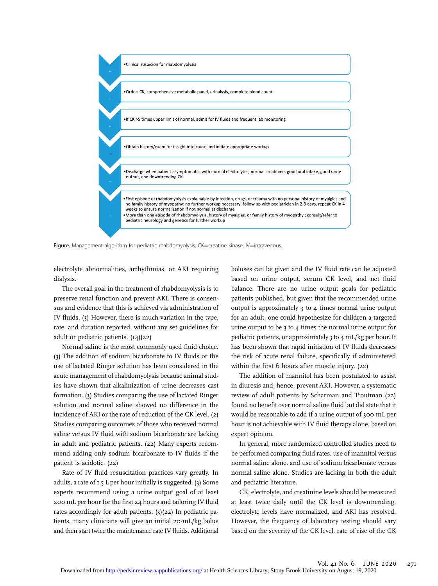

Figure. Management algorithm for pediatric rhabdomyolysis. CK=creatine kinase, IV=intravenous.

electrolyte abnormalities, arrhythmias, or AKI requiring dialysis.

The overall goal in the treatment of rhabdomyolysis is to preserve renal function and prevent AKI. There is consensus and evidence that this is achieved via administration of IV fluids. (3) However, there is much variation in the type, rate, and duration reported, without any set guidelines for adult or pediatric patients.  $(I4)(22)$ 

Normal saline is the most commonly used fluid choice. (3) The addition of sodium bicarbonate to IV fluids or the use of lactated Ringer solution has been considered in the acute management of rhabdomyolysis because animal studies have shown that alkalinization of urine decreases cast formation. (3) Studies comparing the use of lactated Ringer solution and normal saline showed no difference in the incidence of AKI or the rate of reduction of the CK level. (2) Studies comparing outcomes of those who received normal saline versus IV fluid with sodium bicarbonate are lacking in adult and pediatric patients. (22) Many experts recommend adding only sodium bicarbonate to IV fluids if the patient is acidotic. (22)

Rate of IV fluid resuscitation practices vary greatly. In adults, a rate of 1.5 L per hour initially is suggested. (3) Some experts recommend using a urine output goal of at least 200 mL per hour for the first 24 hours and tailoring IV fluid rates accordingly for adult patients. (3)(22) In pediatric patients, many clinicians will give an initial 20-mL/kg bolus and then start twice the maintenance rate IV fluids. Additional

boluses can be given and the IV fluid rate can be adjusted based on urine output, serum CK level, and net fluid balance. There are no urine output goals for pediatric patients published, but given that the recommended urine output is approximately 3 to 4 times normal urine output for an adult, one could hypothesize for children a targeted urine output to be 3 to 4 times the normal urine output for pediatric patients, or approximately 3 to 4 mL/kg per hour. It has been shown that rapid initiation of IV fluids decreases the risk of acute renal failure, specifically if administered within the first 6 hours after muscle injury. (22)

The addition of mannitol has been postulated to assist in diuresis and, hence, prevent AKI. However, a systematic review of adult patients by Scharman and Troutman (22) found no benefit over normal saline fluid but did state that it would be reasonable to add if a urine output of 300 mL per hour is not achievable with IV fluid therapy alone, based on expert opinion.

In general, more randomized controlled studies need to be performed comparing fluid rates, use of mannitol versus normal saline alone, and use of sodium bicarbonate versus normal saline alone. Studies are lacking in both the adult and pediatric literature.

CK, electrolyte, and creatinine levels should be measured at least twice daily until the CK level is downtrending, electrolyte levels have normalized, and AKI has resolved. However, the frequency of laboratory testing should vary based on the severity of the CK level, rate of rise of the CK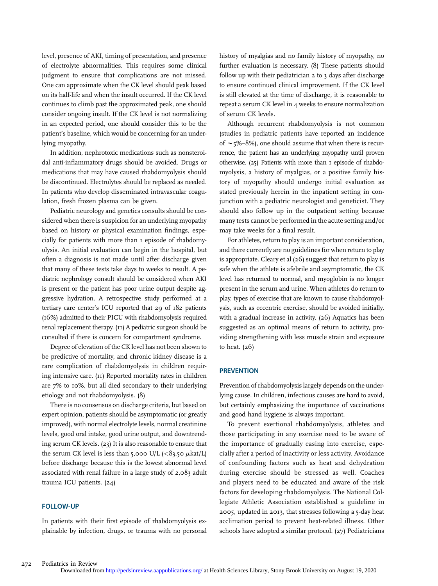level, presence of AKI, timing of presentation, and presence of electrolyte abnormalities. This requires some clinical judgment to ensure that complications are not missed. One can approximate when the CK level should peak based on its half-life and when the insult occurred. If the CK level continues to climb past the approximated peak, one should consider ongoing insult. If the CK level is not normalizing in an expected period, one should consider this to be the patient's baseline, which would be concerning for an underlying myopathy.

In addition, nephrotoxic medications such as nonsteroidal anti-inflammatory drugs should be avoided. Drugs or medications that may have caused rhabdomyolysis should be discontinued. Electrolytes should be replaced as needed. In patients who develop disseminated intravascular coagulation, fresh frozen plasma can be given.

Pediatric neurology and genetics consults should be considered when there is suspicion for an underlying myopathy based on history or physical examination findings, especially for patients with more than 1 episode of rhabdomyolysis. An initial evaluation can begin in the hospital, but often a diagnosis is not made until after discharge given that many of these tests take days to weeks to result. A pediatric nephrology consult should be considered when AKI is present or the patient has poor urine output despite aggressive hydration. A retrospective study performed at a tertiary care center's ICU reported that 29 of 182 patients (16%) admitted to their PICU with rhabdomyolysis required renal replacement therapy. (11) A pediatric surgeon should be consulted if there is concern for compartment syndrome.

Degree of elevation of the CK level has not been shown to be predictive of mortality, and chronic kidney disease is a rare complication of rhabdomyolysis in children requiring intensive care. (11) Reported mortality rates in children are 7% to 10%, but all died secondary to their underlying etiology and not rhabdomyolysis. (8)

There is no consensus on discharge criteria, but based on expert opinion, patients should be asymptomatic (or greatly improved), with normal electrolyte levels, normal creatinine levels, good oral intake, good urine output, and downtrending serum CK levels. (23) It is also reasonable to ensure that the serum CK level is less than 5,000 U/L  $(<\frac{8}{3}$ .50  $\mu$ kat/L) before discharge because this is the lowest abnormal level associated with renal failure in a large study of 2,083 adult trauma ICU patients. (24)

# FOLLOW-UP

In patients with their first episode of rhabdomyolysis explainable by infection, drugs, or trauma with no personal history of myalgias and no family history of myopathy, no further evaluation is necessary. (8) These patients should follow up with their pediatrician 2 to 3 days after discharge to ensure continued clinical improvement. If the CK level is still elevated at the time of discharge, it is reasonable to repeat a serum CK level in 4 weeks to ensure normalization of serum CK levels.

Although recurrent rhabdomyolysis is not common (studies in pediatric patients have reported an incidence of  $\sim$  5%–8%), one should assume that when there is recurrence, the patient has an underlying myopathy until proven otherwise. (25) Patients with more than 1 episode of rhabdomyolysis, a history of myalgias, or a positive family history of myopathy should undergo initial evaluation as stated previously herein in the inpatient setting in conjunction with a pediatric neurologist and geneticist. They should also follow up in the outpatient setting because many tests cannot be performed in the acute setting and/or may take weeks for a final result.

For athletes, return to play is an important consideration, and there currently are no guidelines for when return to play is appropriate. Cleary et al (26) suggest that return to play is safe when the athlete is afebrile and asymptomatic, the CK level has returned to normal, and myoglobin is no longer present in the serum and urine. When athletes do return to play, types of exercise that are known to cause rhabdomyolysis, such as eccentric exercise, should be avoided initially, with a gradual increase in activity. (26) Aquatics has been suggested as an optimal means of return to activity, providing strengthening with less muscle strain and exposure to heat. (26)

#### **PREVENTION**

Prevention of rhabdomyolysis largely depends on the underlying cause. In children, infectious causes are hard to avoid, but certainly emphasizing the importance of vaccinations and good hand hygiene is always important.

To prevent exertional rhabdomyolysis, athletes and those participating in any exercise need to be aware of the importance of gradually easing into exercise, especially after a period of inactivity or less activity. Avoidance of confounding factors such as heat and dehydration during exercise should be stressed as well. Coaches and players need to be educated and aware of the risk factors for developing rhabdomyolysis. The National Collegiate Athletic Association established a guideline in 2005, updated in 2013, that stresses following a 5-day heat acclimation period to prevent heat-related illness. Other schools have adopted a similar protocol. (27) Pediatricians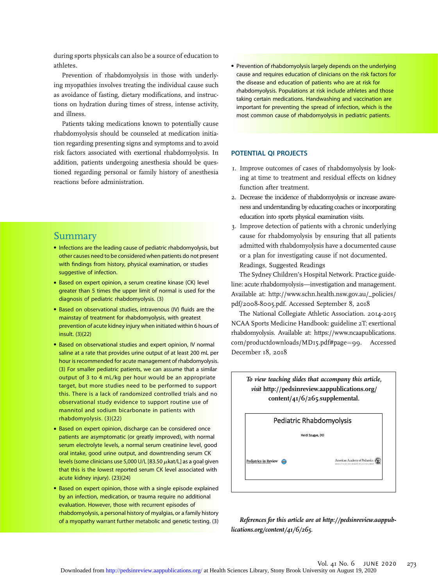during sports physicals can also be a source of education to athletes.

Prevention of rhabdomyolysis in those with underlying myopathies involves treating the individual cause such as avoidance of fasting, dietary modifications, and instructions on hydration during times of stress, intense activity, and illness.

Patients taking medications known to potentially cause rhabdomyolysis should be counseled at medication initiation regarding presenting signs and symptoms and to avoid risk factors associated with exertional rhabdomyolysis. In addition, patients undergoing anesthesia should be questioned regarding personal or family history of anesthesia reactions before administration.

# Summary

- Infections are the leading cause of pediatric rhabdomyolysis, but other causes need to be considered when patients do not present with findings from history, physical examination, or studies suggestive of infection.
- Based on expert opinion, a serum creatine kinase (CK) level greater than 5 times the upper limit of normal is used for the diagnosis of pediatric rhabdomyolysis. (3)
- Based on observational studies, intravenous (IV) fluids are the mainstay of treatment for rhabdomyolysis, with greatest prevention of acute kidney injury when initiated within 6 hours of insult. (3)(22)
- Based on observational studies and expert opinion, IV normal saline at a rate that provides urine output of at least 200 mL per hour is recommended for acute management of rhabdomyolysis. (3) For smaller pediatric patients, we can assume that a similar output of 3 to 4 mL/kg per hour would be an appropriate target, but more studies need to be performed to support this. There is a lack of randomized controlled trials and no observational study evidence to support routine use of mannitol and sodium bicarbonate in patients with rhabdomyolysis. (3)(22)
- Based on expert opinion, discharge can be considered once patients are asymptomatic (or greatly improved), with normal serum electrolyte levels, a normal serum creatinine level, good oral intake, good urine output, and downtrending serum CK levels (some clinicians use 5,000 U/L [83.50  $\mu$ kat/L] as a goal given that this is the lowest reported serum CK level associated with acute kidney injury). (23)(24)
- Based on expert opinion, those with a single episode explained by an infection, medication, or trauma require no additional evaluation. However, those with recurrent episodes of rhabdomyolysis, a personal history of myalgias, or a family history of a myopathy warrant further metabolic and genetic testing. (3)

• Prevention of rhabdomyolysis largely depends on the underlying cause and requires education of clinicians on the risk factors for the disease and education of patients who are at risk for rhabdomyolysis. Populations at risk include athletes and those taking certain medications. Handwashing and vaccination are important for preventing the spread of infection, which is the most common cause of rhabdomyolysis in pediatric patients.

# POTENTIAL QI PROJECTS

- 1. Improve outcomes of cases of rhabdomyolysis by looking at time to treatment and residual effects on kidney function after treatment.
- 2. Decrease the incidence of rhabdomyolysis or increase awareness and understanding by educating coaches or incorporating education into sports physical examination visits.
- 3. Improve detection of patients with a chronic underlying cause for rhabdomyolysis by ensuring that all patients admitted with rhabdomyolysis have a documented cause or a plan for investigating cause if not documented. Readings, Suggested Readings

The Sydney Children's Hospital Network. Practice guideline: acute rhabdomyolysis—investigation and management. Available at: [http://www.schn.health.nsw.gov.au/\\_policies/](http://www.schn.health.nsw.gov.au/_policies/pdf/2008-8005.pdf) [pdf/2008-8005.pdf.](http://www.schn.health.nsw.gov.au/_policies/pdf/2008-8005.pdf) Accessed September 8, 2018

The National Collegiate Athletic Association. 2014-2015 NCAA Sports Medicine Handbook: guideline 2T: exertional rhabdomyolysis. Available at: [https://www.ncaapublications.](https://www.ncaapublications.com/productdownloads/MD15.pdf#page=99) [com/productdownloads/MD15.pdf#page](https://www.ncaapublications.com/productdownloads/MD15.pdf#page=99)=[99](https://www.ncaapublications.com/productdownloads/MD15.pdf#page=99). Accessed December 18, 2018



References for this article are at [http://pedsinreview.aappub](http://pedsinreview.aappublications.org/content/41/6/265)[lications.org/content/41/6/265.](http://pedsinreview.aappublications.org/content/41/6/265)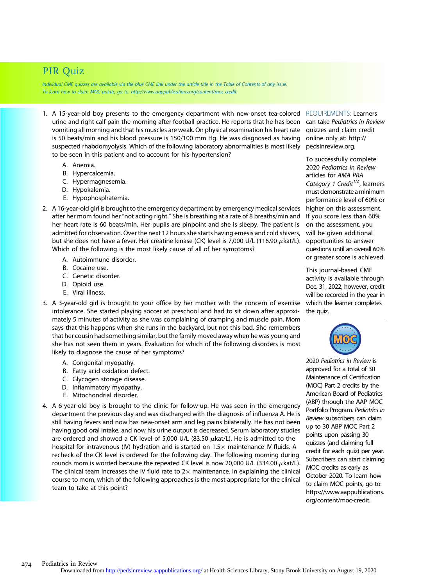# PIR Quiz

Individual CME quizzes are available via the blue CME link under the article title in the Table of Contents of any issue. To learn how to claim MOC points, go to: [http://www.aappublications.org/content/moc-credit.](http://www.aappublications.org/content/moc-credit)

- 1. A 15-year-old boy presents to the emergency department with new-onset tea-colored urine and right calf pain the morning after football practice. He reports that he has been vomiting all morning and that his muscles are weak. On physical examination his heart rate is 50 beats/min and his blood pressure is 150/100 mm Hg. He was diagnosed as having suspected rhabdomyolysis. Which of the following laboratory abnormalities is most likely to be seen in this patient and to account for his hypertension?
	- A. Anemia.
	- B. Hypercalcemia.
	- C. Hypermagnesemia.
	- D. Hypokalemia.
	- E. Hypophosphatemia.
- 2. A 16-year-old girl is brought to the emergency department by emergency medical services after her mom found her "not acting right." She is breathing at a rate of 8 breaths/min and her heart rate is 60 beats/min. Her pupils are pinpoint and she is sleepy. The patient is admitted for observation. Over the next 12 hours she starts having emesis and cold shivers, but she does not have a fever. Her creatine kinase (CK) level is 7,000 U/L (116.90  $\mu$ kat/L). Which of the following is the most likely cause of all of her symptoms?
	- A. Autoimmune disorder.
	- B. Cocaine use.
	- C. Genetic disorder.
	- D. Opioid use.
	- E. Viral illness.
- 3. A 3-year-old girl is brought to your office by her mother with the concern of exercise intolerance. She started playing soccer at preschool and had to sit down after approximately 5 minutes of activity as she was complaining of cramping and muscle pain. Mom says that this happens when she runs in the backyard, but not this bad. She remembers that her cousin had something similar, but the family moved away when he was young and she has not seen them in years. Evaluation for which of the following disorders is most likely to diagnose the cause of her symptoms?
	- A. Congenital myopathy.
	- B. Fatty acid oxidation defect.
	- C. Glycogen storage disease.
	- D. Inflammatory myopathy.
	- E. Mitochondrial disorder.
- 4. A 6-year-old boy is brought to the clinic for follow-up. He was seen in the emergency department the previous day and was discharged with the diagnosis of influenza A. He is still having fevers and now has new-onset arm and leg pains bilaterally. He has not been having good oral intake, and now his urine output is decreased. Serum laboratory studies are ordered and showed a CK level of 5,000 U/L (83.50  $\mu$ kat/L). He is admitted to the hospital for intravenous (IV) hydration and is started on  $1.5\times$  maintenance IV fluids. A recheck of the CK level is ordered for the following day. The following morning during rounds mom is worried because the repeated CK level is now 20,000 U/L (334.00  $\mu$ kat/L). The clinical team increases the IV fluid rate to  $2\times$  maintenance. In explaining the clinical course to mom, which of the following approaches is the most appropriate for the clinical team to take at this point?

REQUIREMENTS: Learners can take Pediatrics in Review quizzes and claim credit online only at: [http://](http://pedsinreview.org) [pedsinreview.org](http://pedsinreview.org).

To successfully complete 2020 Pediatrics in Review articles for AMA PRA Category 1 Credit<sup>TM</sup>, learners must demonstrate a minimum performance level of 60% or higher on this assessment. If you score less than 60% on the assessment, you will be given additional opportunities to answer questions until an overall 60% or greater score is achieved.

This journal-based CME activity is available through Dec. 31, 2022, however, credit will be recorded in the year in which the learner completes the quiz.



2020 Pediatrics in Review is approved for a total of 30 Maintenance of Certification (MOC) Part 2 credits by the American Board of Pediatrics (ABP) through the AAP MOC Portfolio Program. Pediatrics in Review subscribers can claim up to 30 ABP MOC Part 2 points upon passing 30 quizzes (and claiming full credit for each quiz) per year. Subscribers can start claiming MOC credits as early as October 2020. To learn how to claim MOC points, go to: [https://www.aappublications.](https://www.aappublications.org/content/moc-credit) [org/content/moc-credit](https://www.aappublications.org/content/moc-credit).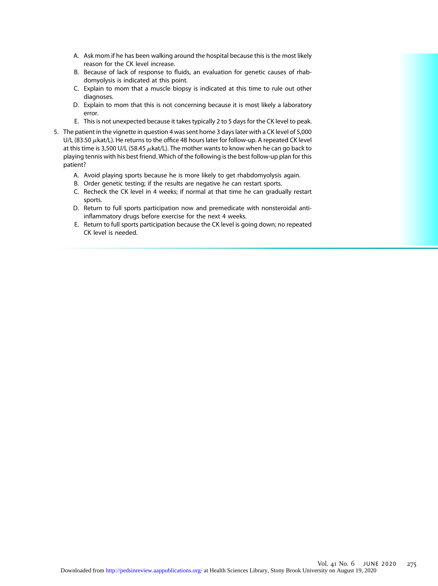- A. Ask mom if he has been walking around the hospital because this is the most likely reason for the CK level increase.
- B. Because of lack of response to fluids, an evaluation for genetic causes of rhabdomyolysis is indicated at this point.
- C. Explain to mom that a muscle biopsy is indicated at this time to rule out other diagnoses.
- D. Explain to mom that this is not concerning because it is most likely a laboratory error.
- E. This is not unexpected because it takes typically 2 to 5 days for the CK level to peak.
- 5. The patient in the vignette in question 4 was sent home 3 days later with a CK level of 5,000 U/L (83.50  $\mu$ kat/L). He returns to the office 48 hours later for follow-up. A repeated CK level at this time is 3,500 U/L (58.45  $\mu$ kat/L). The mother wants to know when he can go back to playing tennis with his best friend. Which of the following is the best follow-up plan for this patient?
	- A. Avoid playing sports because he is more likely to get rhabdomyolysis again.
	- B. Order genetic testing; if the results are negative he can restart sports.
	- C. Recheck the CK level in 4 weeks; if normal at that time he can gradually restart sports.
	- D. Return to full sports participation now and premedicate with nonsteroidal antiinflammatory drugs before exercise for the next 4 weeks.
	- E. Return to full sports participation because the CK level is going down; no repeated CK level is needed.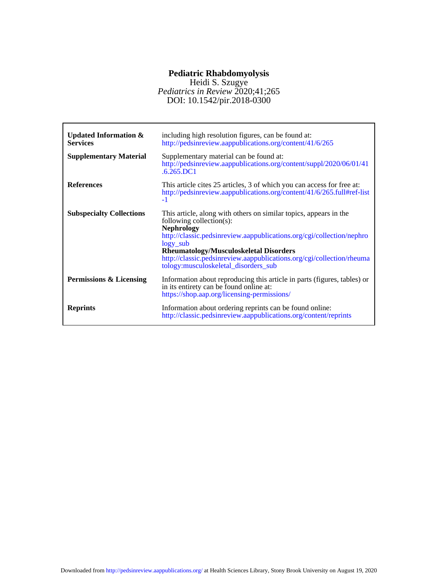# **Pediatric Rhabdomyolysis**

DOI: 10.1542/pir.2018-0300 *Pediatrics in Review* 2020;41;265 Heidi S. Szugye

| Updated Information $\&$<br><b>Services</b><br><b>Supplementary Material</b> | including high resolution figures, can be found at:<br>http://pedsinreview.aappublications.org/content/41/6/265<br>Supplementary material can be found at:<br>http://pedsinreview.aappublications.org/content/suppl/2020/06/01/41<br>.6.265.DC1                                                                                                                           |
|------------------------------------------------------------------------------|---------------------------------------------------------------------------------------------------------------------------------------------------------------------------------------------------------------------------------------------------------------------------------------------------------------------------------------------------------------------------|
| <b>References</b>                                                            | This article cites 25 articles, 3 of which you can access for free at:<br>http://pedsinreview.aappublications.org/content/41/6/265.full#ref-list<br>-1                                                                                                                                                                                                                    |
| <b>Subspecialty Collections</b>                                              | This article, along with others on similar topics, appears in the<br>following collection(s):<br><b>Nephrology</b><br>http://classic.pedsinreview.aappublications.org/cgi/collection/nephro<br>logy sub<br><b>Rheumatology/Musculoskeletal Disorders</b><br>http://classic.pedsinreview.aappublications.org/cgi/collection/rheuma<br>tology:musculoskeletal_disorders_sub |
| <b>Permissions &amp; Licensing</b>                                           | Information about reproducing this article in parts (figures, tables) or<br>in its entirety can be found online at:<br>https://shop.aap.org/licensing-permissions/                                                                                                                                                                                                        |
| <b>Reprints</b>                                                              | Information about ordering reprints can be found online:<br>http://classic.pedsinreview.aappublications.org/content/reprints                                                                                                                                                                                                                                              |